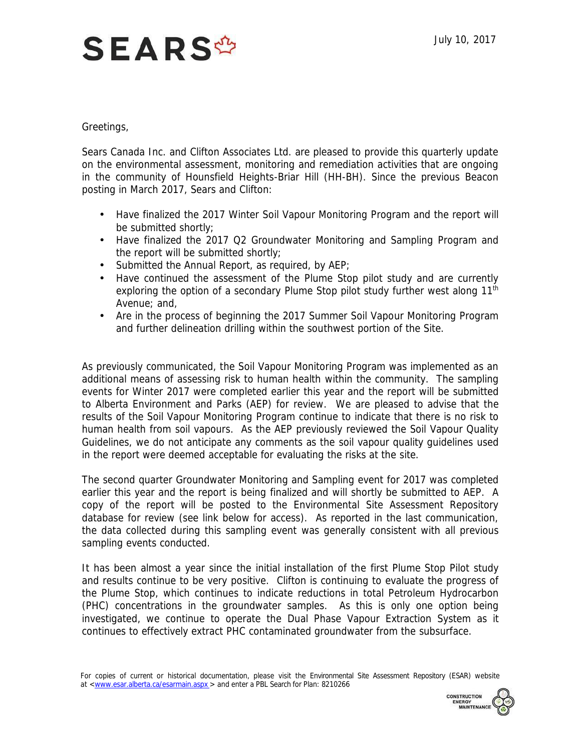## **SEARS<sup>\$</sup>**

## Greetings,

 Sears Canada Inc. and Clifton Associates Ltd. are pleased to provide this quarterly update on the environmental assessment, monitoring and remediation activities that are ongoing in the community of Hounsfield Heights-Briar Hill (HH-BH). Since the previous Beacon posting in March 2017, Sears and Clifton:

- Have finalized the 2017 Winter Soil Vapour Monitoring Program and the report will be submitted shortly;
- Have finalized the 2017 Q2 Groundwater Monitoring and Sampling Program and the report will be submitted shortly;
- Submitted the Annual Report, as required, by AEP;
- Have continued the assessment of the Plume Stop pilot study and are currently exploring the option of a secondary Plume Stop pilot study further west along  $11<sup>th</sup>$ Avenue; and,
- Are in the process of beginning the 2017 Summer Soil Vapour Monitoring Program and further delineation drilling within the southwest portion of the Site.

 As previously communicated, the Soil Vapour Monitoring Program was implemented as an additional means of assessing risk to human health within the community. The sampling events for Winter 2017 were completed earlier this year and the report will be submitted to Alberta Environment and Parks (AEP) for review. We are pleased to advise that the results of the Soil Vapour Monitoring Program continue to indicate that there is no risk to human health from soil vapours. As the AEP previously reviewed the Soil Vapour Quality Guidelines, we do not anticipate any comments as the soil vapour quality guidelines used in the report were deemed acceptable for evaluating the risks at the site.

 earlier this year and the report is being finalized and will shortly be submitted to AEP. A copy of the report will be posted to the Environmental Site Assessment Repository database for review (see link below for access). As reported in the last communication, the data collected during this sampling event was generally consistent with all previous The second quarter Groundwater Monitoring and Sampling event for 2017 was completed sampling events conducted.

 It has been almost a year since the initial installation of the first Plume Stop Pilot study and results continue to be very positive. Clifton is continuing to evaluate the progress of the Plume Stop, which continues to indicate reductions in total Petroleum Hydrocarbon (PHC) concentrations in the groundwater samples. As this is only one option being investigated, we continue to operate the Dual Phase Vapour Extraction System as it continues to effectively extract PHC contaminated groundwater from the subsurface.

For copies of current or historical documentation, please visit the Environmental Site Assessment Repository (ESAR) website at [<www.esar.alberta.ca/esarmain.aspx](www.esar.alberta.ca/esarmain.aspx) > and enter a PBL Search for Plan: 8210266